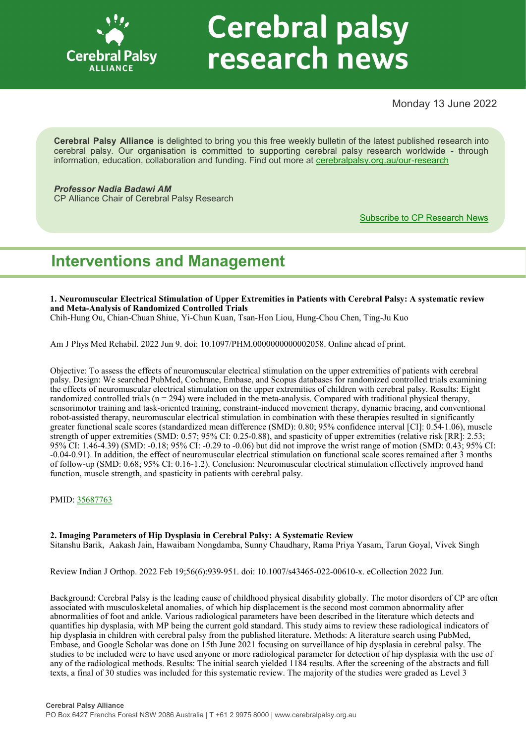

# **Cerebral palsy** research news

Monday 13 June 2022

**Cerebral Palsy Alliance** is delighted to bring you this free weekly bulletin of the latest published research into cerebral palsy. Our organisation is committed to supporting cerebral palsy research worldwide - through information, education, collaboration and funding. Find out more at [cerebralpalsy.org.au/our](https://cerebralpalsy.org.au/our-research/)-research

*Professor Nadia Badawi AM* CP Alliance Chair of Cerebral Palsy Research

[Subscribe to CP Research News](https://cerebralpalsy.org.au/our-research/get-involved-research/cp-research-newsletters/)

# **Interventions and Management**

**1. Neuromuscular Electrical Stimulation of Upper Extremities in Patients with Cerebral Palsy: A systematic review and Meta-Analysis of Randomized Controlled Trials**

Chih-Hung Ou, Chian-Chuan Shiue, Yi-Chun Kuan, Tsan-Hon Liou, Hung-Chou Chen, Ting-Ju Kuo

Am J Phys Med Rehabil. 2022 Jun 9. doi: 10.1097/PHM.0000000000002058. Online ahead of print.

Objective: To assess the effects of neuromuscular electrical stimulation on the upper extremities of patients with cerebral palsy. Design: We searched PubMed, Cochrane, Embase, and Scopus databases for randomized controlled trials examining the effects of neuromuscular electrical stimulation on the upper extremities of children with cerebral palsy. Results: Eight randomized controlled trials  $(n = 294)$  were included in the meta-analysis. Compared with traditional physical therapy, sensorimotor training and task-oriented training, constraint-induced movement therapy, dynamic bracing, and conventional robot-assisted therapy, neuromuscular electrical stimulation in combination with these therapies resulted in significantly greater functional scale scores (standardized mean difference (SMD): 0.80; 95% confidence interval [CI]: 0.54-1.06), muscle strength of upper extremities (SMD: 0.57; 95% CI: 0.25-0.88), and spasticity of upper extremities (relative risk [RR]: 2.53; 95% CI: 1.46-4.39) (SMD: -0.18; 95% CI: -0.29 to -0.06) but did not improve the wrist range of motion (SMD: 0.43; 95% CI: -0.04-0.91). In addition, the effect of neuromuscular electrical stimulation on functional scale scores remained after 3 months of follow-up (SMD: 0.68; 95% CI: 0.16-1.2). Conclusion: Neuromuscular electrical stimulation effectively improved hand function, muscle strength, and spasticity in patients with cerebral palsy.

PMID: [35687763](https://pubmed.ncbi.nlm.nih.gov/35687763)

# **2. Imaging Parameters of Hip Dysplasia in Cerebral Palsy: A Systematic Review**

Sitanshu Barik, Aakash Jain, Hawaibam Nongdamba, Sunny Chaudhary, Rama Priya Yasam, Tarun Goyal, Vivek Singh

Review Indian J Orthop. 2022 Feb 19;56(6):939-951. doi: 10.1007/s43465-022-00610-x. eCollection 2022 Jun.

Background: Cerebral Palsy is the leading cause of childhood physical disability globally. The motor disorders of CP are often associated with musculoskeletal anomalies, of which hip displacement is the second most common abnormality after abnormalities of foot and ankle. Various radiological parameters have been described in the literature which detects and quantifies hip dysplasia, with MP being the current gold standard. This study aims to review these radiological indicators of hip dysplasia in children with cerebral palsy from the published literature. Methods: A literature search using PubMed, Embase, and Google Scholar was done on 15th June 2021 focusing on surveillance of hip dysplasia in cerebral palsy. The studies to be included were to have used anyone or more radiological parameter for detection of hip dysplasia with the use of any of the radiological methods. Results: The initial search yielded 1184 results. After the screening of the abstracts and full texts, a final of 30 studies was included for this systematic review. The majority of the studies were graded as Level 3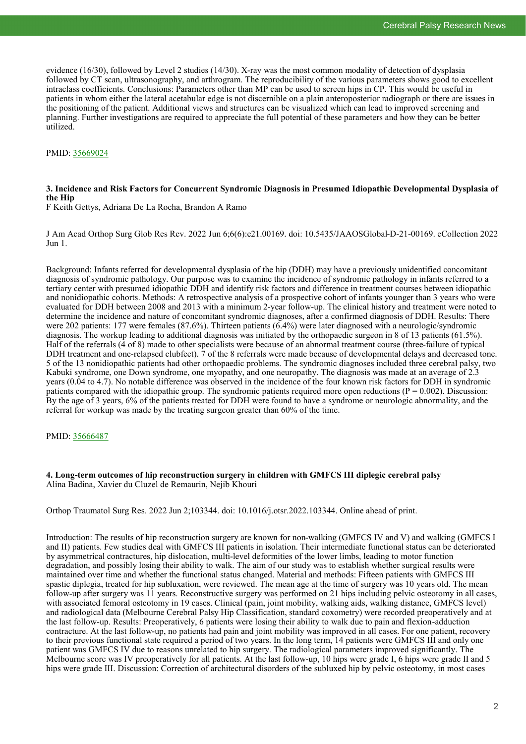evidence (16/30), followed by Level 2 studies (14/30). X-ray was the most common modality of detection of dysplasia followed by CT scan, ultrasonography, and arthrogram. The reproducibility of the various parameters shows good to excellent intraclass coefficients. Conclusions: Parameters other than MP can be used to screen hips in CP. This would be useful in patients in whom either the lateral acetabular edge is not discernible on a plain anteroposterior radiograph or there are issues in the positioning of the patient. Additional views and structures can be visualized which can lead to improved screening and planning. Further investigations are required to appreciate the full potential of these parameters and how they can be better utilized.

# PMID: [35669024](https://pubmed.ncbi.nlm.nih.gov/35669024)

# **3. Incidence and Risk Factors for Concurrent Syndromic Diagnosis in Presumed Idiopathic Developmental Dysplasia of the Hip**

F Keith Gettys, Adriana De La Rocha, Brandon A Ramo

J Am Acad Orthop Surg Glob Res Rev. 2022 Jun 6;6(6):e21.00169. doi: 10.5435/JAAOSGlobal-D-21-00169. eCollection 2022 Jun 1.

Background: Infants referred for developmental dysplasia of the hip (DDH) may have a previously unidentified concomitant diagnosis of syndromic pathology. Our purpose was to examine the incidence of syndromic pathology in infants referred to a tertiary center with presumed idiopathic DDH and identify risk factors and difference in treatment courses between idiopathic and nonidiopathic cohorts. Methods: A retrospective analysis of a prospective cohort of infants younger than 3 years who were evaluated for DDH between 2008 and 2013 with a minimum 2-year follow-up. The clinical history and treatment were noted to determine the incidence and nature of concomitant syndromic diagnoses, after a confirmed diagnosis of DDH. Results: There were 202 patients: 177 were females (87.6%). Thirteen patients (6.4%) were later diagnosed with a neurologic/syndromic diagnosis. The workup leading to additional diagnosis was initiated by the orthopaedic surgeon in 8 of 13 patients (61.5%). Half of the referrals (4 of 8) made to other specialists were because of an abnormal treatment course (three-failure of typical DDH treatment and one-relapsed clubfeet). 7 of the 8 referrals were made because of developmental delays and decreased tone. 5 of the 13 nonidiopathic patients had other orthopaedic problems. The syndromic diagnoses included three cerebral palsy, two Kabuki syndrome, one Down syndrome, one myopathy, and one neuropathy. The diagnosis was made at an average of 2.3 years (0.04 to 4.7). No notable difference was observed in the incidence of the four known risk factors for DDH in syndromic patients compared with the idiopathic group. The syndromic patients required more open reductions ( $P = 0.002$ ). Discussion: By the age of 3 years, 6% of the patients treated for DDH were found to have a syndrome or neurologic abnormality, and the referral for workup was made by the treating surgeon greater than 60% of the time.

PMID: [35666487](https://pubmed.ncbi.nlm.nih.gov/35666487)

# **4. Long-term outcomes of hip reconstruction surgery in children with GMFCS III diplegic cerebral palsy** Alina Badina, Xavier du Cluzel de Remaurin, Nejib Khouri

Orthop Traumatol Surg Res. 2022 Jun 2;103344. doi: 10.1016/j.otsr.2022.103344. Online ahead of print.

Introduction: The results of hip reconstruction surgery are known for non-walking (GMFCS IV and V) and walking (GMFCS I and II) patients. Few studies deal with GMFCS III patients in isolation. Their intermediate functional status can be deteriorated by asymmetrical contractures, hip dislocation, multi-level deformities of the lower limbs, leading to motor function degradation, and possibly losing their ability to walk. The aim of our study was to establish whether surgical results were maintained over time and whether the functional status changed. Material and methods: Fifteen patients with GMFCS III spastic diplegia, treated for hip subluxation, were reviewed. The mean age at the time of surgery was 10 years old. The mean follow-up after surgery was 11 years. Reconstructive surgery was performed on 21 hips including pelvic osteotomy in all cases, with associated femoral osteotomy in 19 cases. Clinical (pain, joint mobility, walking aids, walking distance, GMFCS level) and radiological data (Melbourne Cerebral Palsy Hip Classification, standard coxometry) were recorded preoperatively and at the last follow-up. Results: Preoperatively, 6 patients were losing their ability to walk due to pain and flexion-adduction contracture. At the last follow-up, no patients had pain and joint mobility was improved in all cases. For one patient, recovery to their previous functional state required a period of two years. In the long term, 14 patients were GMFCS III and only one patient was GMFCS IV due to reasons unrelated to hip surgery. The radiological parameters improved significantly. The Melbourne score was IV preoperatively for all patients. At the last follow-up, 10 hips were grade I, 6 hips were grade II and 5 hips were grade III. Discussion: Correction of architectural disorders of the subluxed hip by pelvic osteotomy, in most cases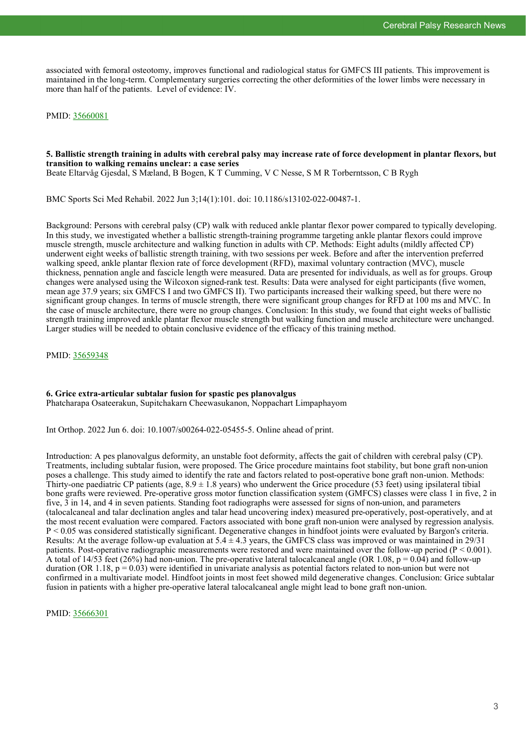associated with femoral osteotomy, improves functional and radiological status for GMFCS III patients. This improvement is maintained in the long-term. Complementary surgeries correcting the other deformities of the lower limbs were necessary in more than half of the patients. Level of evidence: IV.

PMID: [35660081](https://pubmed.ncbi.nlm.nih.gov/35660081)

#### **5. Ballistic strength training in adults with cerebral palsy may increase rate of force development in plantar flexors, but transition to walking remains unclear: a case series** Beate Eltarvåg Gjesdal, S Mæland, B Bogen, K T Cumming, V C Nesse, S M R Torberntsson, C B Rygh

BMC Sports Sci Med Rehabil. 2022 Jun 3;14(1):101. doi: 10.1186/s13102-022-00487-1.

Background: Persons with cerebral palsy (CP) walk with reduced ankle plantar flexor power compared to typically developing. In this study, we investigated whether a ballistic strength-training programme targeting ankle plantar flexors could improve muscle strength, muscle architecture and walking function in adults with CP. Methods: Eight adults (mildly affected CP) underwent eight weeks of ballistic strength training, with two sessions per week. Before and after the intervention preferred walking speed, ankle plantar flexion rate of force development (RFD), maximal voluntary contraction (MVC), muscle thickness, pennation angle and fascicle length were measured. Data are presented for individuals, as well as for groups. Group changes were analysed using the Wilcoxon signed-rank test. Results: Data were analysed for eight participants (five women, mean age 37.9 years; six GMFCS I and two GMFCS II). Two participants increased their walking speed, but there were no significant group changes. In terms of muscle strength, there were significant group changes for RFD at 100 ms and MVC. In the case of muscle architecture, there were no group changes. Conclusion: In this study, we found that eight weeks of ballistic strength training improved ankle plantar flexor muscle strength but walking function and muscle architecture were unchanged. Larger studies will be needed to obtain conclusive evidence of the efficacy of this training method.

PMID: [35659348](https://pubmed.ncbi.nlm.nih.gov/35659348)

# **6. Grice extra-articular subtalar fusion for spastic pes planovalgus**

Phatcharapa Osateerakun, Supitchakarn Cheewasukanon, Noppachart Limpaphayom

Int Orthop. 2022 Jun 6. doi: 10.1007/s00264-022-05455-5. Online ahead of print.

Introduction: A pes planovalgus deformity, an unstable foot deformity, affects the gait of children with cerebral palsy (CP). Treatments, including subtalar fusion, were proposed. The Grice procedure maintains foot stability, but bone graft non-union poses a challenge. This study aimed to identify the rate and factors related to post-operative bone graft non-union. Methods: Thirty-one paediatric CP patients (age,  $8.9 \pm 1.8$  years) who underwent the Grice procedure (53 feet) using ipsilateral tibial bone grafts were reviewed. Pre-operative gross motor function classification system (GMFCS) classes were class 1 in five, 2 in five, 3 in 14, and 4 in seven patients. Standing foot radiographs were assessed for signs of non-union, and parameters (talocalcaneal and talar declination angles and talar head uncovering index) measured pre-operatively, post-operatively, and at the most recent evaluation were compared. Factors associated with bone graft non-union were analysed by regression analysis. P < 0.05 was considered statistically significant. Degenerative changes in hindfoot joints were evaluated by Bargon's criteria. Results: At the average follow-up evaluation at  $5.4 \pm 4.3$  years, the GMFCS class was improved or was maintained in 29/31 patients. Post-operative radiographic measurements were restored and were maintained over the follow-up period ( $P < 0.001$ ). A total of  $14/53$  feet (26%) had non-union. The pre-operative lateral talocalcaneal angle (OR 1.08, p = 0.04) and follow-up duration (OR 1.18,  $p = 0.03$ ) were identified in univariate analysis as potential factors related to non-union but were not confirmed in a multivariate model. Hindfoot joints in most feet showed mild degenerative changes. Conclusion: Grice subtalar fusion in patients with a higher pre-operative lateral talocalcaneal angle might lead to bone graft non-union.

PMID: [35666301](https://pubmed.ncbi.nlm.nih.gov/35666301)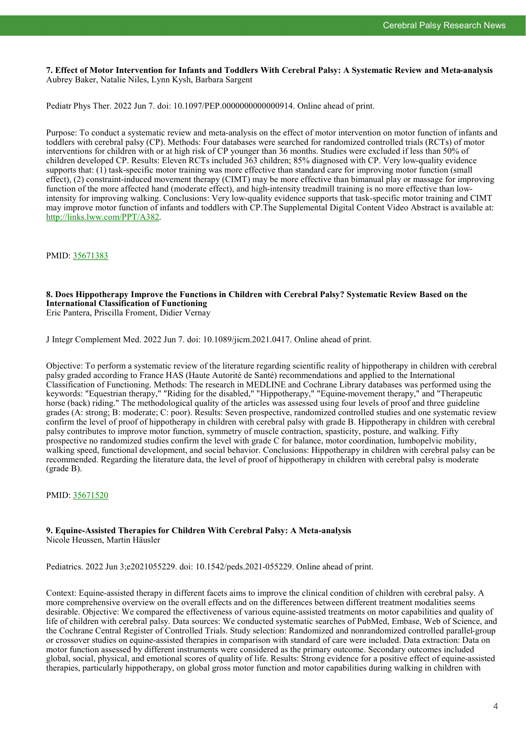**7. Effect of Motor Intervention for Infants and Toddlers With Cerebral Palsy: A Systematic Review and Meta-analysis** Aubrey Baker, Natalie Niles, Lynn Kysh, Barbara Sargent

Pediatr Phys Ther. 2022 Jun 7. doi: 10.1097/PEP.0000000000000914. Online ahead of print.

Purpose: To conduct a systematic review and meta-analysis on the effect of motor intervention on motor function of infants and toddlers with cerebral palsy (CP). Methods: Four databases were searched for randomized controlled trials (RCTs) of motor interventions for children with or at high risk of CP younger than 36 months. Studies were excluded if less than 50% of children developed CP. Results: Eleven RCTs included 363 children; 85% diagnosed with CP. Very low-quality evidence supports that: (1) task-specific motor training was more effective than standard care for improving motor function (small effect), (2) constraint-induced movement therapy (CIMT) may be more effective than bimanual play or massage for improving function of the more affected hand (moderate effect), and high-intensity treadmill training is no more effective than lowintensity for improving walking. Conclusions: Very low-quality evidence supports that task-specific motor training and CIMT may improve motor function of infants and toddlers with CP.The Supplemental Digital Content Video Abstract is available at: [http://links.lww.com/PPT/A382.](http://links.lww.com/PPT/A382)

PMID: [35671383](https://pubmed.ncbi.nlm.nih.gov/35671383)

# **8. Does Hippotherapy Improve the Functions in Children with Cerebral Palsy? Systematic Review Based on the International Classification of Functioning**

Eric Pantera, Priscilla Froment, Didier Vernay

J Integr Complement Med. 2022 Jun 7. doi: 10.1089/jicm.2021.0417. Online ahead of print.

Objective: To perform a systematic review of the literature regarding scientific reality of hippotherapy in children with cerebral palsy graded according to France HAS (Haute Autorité de Santé) recommendations and applied to the International Classification of Functioning. Methods: The research in MEDLINE and Cochrane Library databases was performed using the keywords: "Equestrian therapy," "Riding for the disabled," "Hippotherapy," "Equine-movement therapy," and "Therapeutic horse (back) riding." The methodological quality of the articles was assessed using four levels of proof and three guideline grades (A: strong; B: moderate; C: poor). Results: Seven prospective, randomized controlled studies and one systematic review confirm the level of proof of hippotherapy in children with cerebral palsy with grade B. Hippotherapy in children with cerebral palsy contributes to improve motor function, symmetry of muscle contraction, spasticity, posture, and walking. Fifty prospective no randomized studies confirm the level with grade C for balance, motor coordination, lumbopelvic mobility, walking speed, functional development, and social behavior. Conclusions: Hippotherapy in children with cerebral palsy can be recommended. Regarding the literature data, the level of proof of hippotherapy in children with cerebral palsy is moderate (grade B).

PMID: [35671520](https://pubmed.ncbi.nlm.nih.gov/35671520)

# **9. Equine-Assisted Therapies for Children With Cerebral Palsy: A Meta-analysis** Nicole Heussen, Martin Häusler

Pediatrics. 2022 Jun 3;e2021055229. doi: 10.1542/peds.2021-055229. Online ahead of print.

Context: Equine-assisted therapy in different facets aims to improve the clinical condition of children with cerebral palsy. A more comprehensive overview on the overall effects and on the differences between different treatment modalities seems desirable. Objective: We compared the effectiveness of various equine-assisted treatments on motor capabilities and quality of life of children with cerebral palsy. Data sources: We conducted systematic searches of PubMed, Embase, Web of Science, and the Cochrane Central Register of Controlled Trials. Study selection: Randomized and nonrandomized controlled parallel-group or crossover studies on equine-assisted therapies in comparison with standard of care were included. Data extraction: Data on motor function assessed by different instruments were considered as the primary outcome. Secondary outcomes included global, social, physical, and emotional scores of quality of life. Results: Strong evidence for a positive effect of equine-assisted therapies, particularly hippotherapy, on global gross motor function and motor capabilities during walking in children with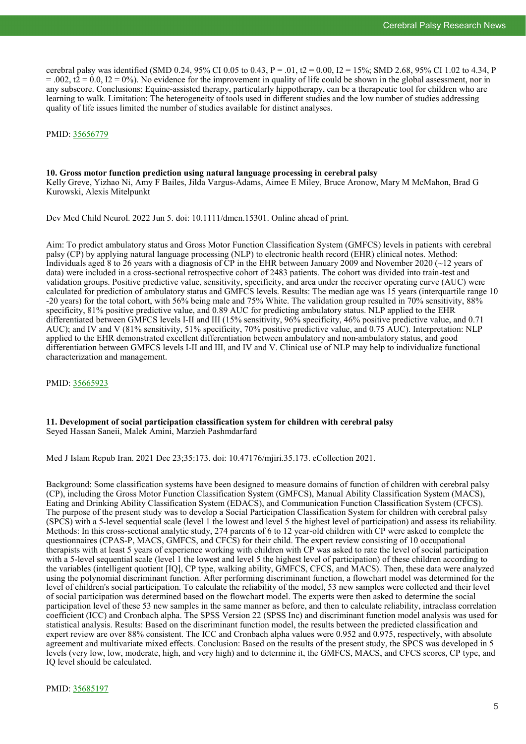cerebral palsy was identified (SMD 0.24, 95% CI 0.05 to 0.43,  $P = .01$ , t2 = 0.00, I2 = 15%; SMD 2.68, 95% CI 1.02 to 4.34, P  $= 0.002$ , t2 = 0.0, I2 = 0%). No evidence for the improvement in quality of life could be shown in the global assessment, nor in any subscore. Conclusions: Equine-assisted therapy, particularly hippotherapy, can be a therapeutic tool for children who are learning to walk. Limitation: The heterogeneity of tools used in different studies and the low number of studies addressing quality of life issues limited the number of studies available for distinct analyses.

# PMID: [35656779](https://pubmed.ncbi.nlm.nih.gov/35656779)

#### **10. Gross motor function prediction using natural language processing in cerebral palsy**

Kelly Greve, Yizhao Ni, Amy F Bailes, Jilda Vargus-Adams, Aimee E Miley, Bruce Aronow, Mary M McMahon, Brad G Kurowski, Alexis Mitelpunkt

Dev Med Child Neurol. 2022 Jun 5. doi: 10.1111/dmcn.15301. Online ahead of print.

Aim: To predict ambulatory status and Gross Motor Function Classification System (GMFCS) levels in patients with cerebral palsy (CP) by applying natural language processing (NLP) to electronic health record (EHR) clinical notes. Method: Individuals aged 8 to 26 years with a diagnosis of CP in the EHR between January 2009 and November 2020 (~12 years of data) were included in a cross-sectional retrospective cohort of 2483 patients. The cohort was divided into train-test and validation groups. Positive predictive value, sensitivity, specificity, and area under the receiver operating curve (AUC) were calculated for prediction of ambulatory status and GMFCS levels. Results: The median age was 15 years (interquartile range 10 -20 years) for the total cohort, with 56% being male and 75% White. The validation group resulted in 70% sensitivity, 88% specificity, 81% positive predictive value, and 0.89 AUC for predicting ambulatory status. NLP applied to the EHR differentiated between GMFCS levels I-II and III (15% sensitivity, 96% specificity, 46% positive predictive value, and 0.71 AUC); and IV and V (81% sensitivity, 51% specificity, 70% positive predictive value, and 0.75 AUC). Interpretation: NLP applied to the EHR demonstrated excellent differentiation between ambulatory and non-ambulatory status, and good differentiation between GMFCS levels I-II and III, and IV and V. Clinical use of NLP may help to individualize functional characterization and management.

PMID: [35665923](https://pubmed.ncbi.nlm.nih.gov/35665923)

# **11. Development of social participation classification system for children with cerebral palsy** Seyed Hassan Saneii, Malek Amini, Marzieh Pashmdarfard

Med J Islam Repub Iran. 2021 Dec 23;35:173. doi: 10.47176/mjiri.35.173. eCollection 2021.

Background: Some classification systems have been designed to measure domains of function of children with cerebral palsy (CP), including the Gross Motor Function Classification System (GMFCS), Manual Ability Classification System (MACS), Eating and Drinking Ability Classification System (EDACS), and Communication Function Classification System (CFCS). The purpose of the present study was to develop a Social Participation Classification System for children with cerebral palsy (SPCS) with a 5-level sequential scale (level 1 the lowest and level 5 the highest level of participation) and assess its reliability. Methods: In this cross-sectional analytic study, 274 parents of 6 to 12 year-old children with CP were asked to complete the questionnaires (CPAS-P, MACS, GMFCS, and CFCS) for their child. The expert review consisting of 10 occupational therapists with at least 5 years of experience working with children with CP was asked to rate the level of social participation with a 5-level sequential scale (level 1 the lowest and level 5 the highest level of participation) of these children according to the variables (intelligent quotient [IQ], CP type, walking ability, GMFCS, CFCS, and MACS). Then, these data were analyzed using the polynomial discriminant function. After performing discriminant function, a flowchart model was determined for the level of children's social participation. To calculate the reliability of the model, 53 new samples were collected and their level of social participation was determined based on the flowchart model. The experts were then asked to determine the social participation level of these 53 new samples in the same manner as before, and then to calculate reliability, intraclass correlation coefficient (ICC) and Cronbach alpha. The SPSS Version 22 (SPSS Inc) and discriminant function model analysis was used for statistical analysis. Results: Based on the discriminant function model, the results between the predicted classification and expert review are over 88% consistent. The ICC and Cronbach alpha values were 0.952 and 0.975, respectively, with absolute agreement and multivariate mixed effects. Conclusion: Based on the results of the present study, the SPCS was developed in 5 levels (very low, low, moderate, high, and very high) and to determine it, the GMFCS, MACS, and CFCS scores, CP type, and IQ level should be calculated.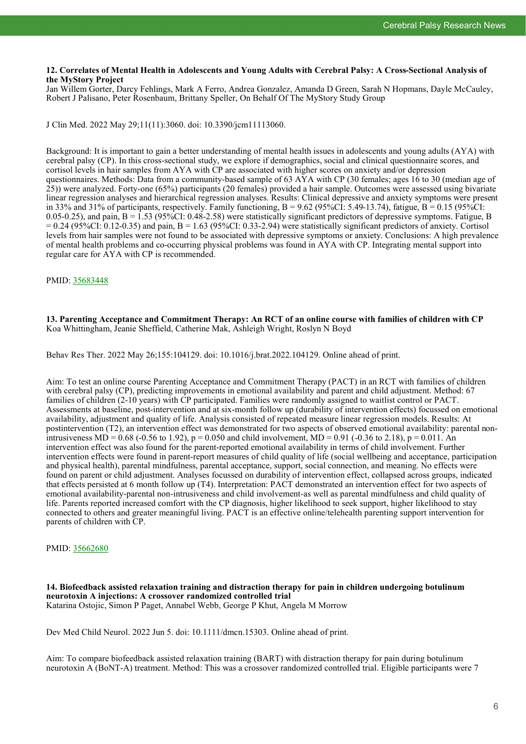# **12. Correlates of Mental Health in Adolescents and Young Adults with Cerebral Palsy: A Cross-Sectional Analysis of the MyStory Project**

Jan Willem Gorter, Darcy Fehlings, Mark A Ferro, Andrea Gonzalez, Amanda D Green, Sarah N Hopmans, Dayle McCauley, Robert J Palisano, Peter Rosenbaum, Brittany Speller, On Behalf Of The MyStory Study Group

J Clin Med. 2022 May 29;11(11):3060. doi: 10.3390/jcm11113060.

Background: It is important to gain a better understanding of mental health issues in adolescents and young adults (AYA) with cerebral palsy (CP). In this cross-sectional study, we explore if demographics, social and clinical questionnaire scores, and cortisol levels in hair samples from AYA with CP are associated with higher scores on anxiety and/or depression questionnaires. Methods: Data from a community-based sample of 63 AYA with CP (30 females; ages 16 to 30 (median age of 25)) were analyzed. Forty-one (65%) participants (20 females) provided a hair sample. Outcomes were assessed using bivariate linear regression analyses and hierarchical regression analyses. Results: Clinical depressive and anxiety symptoms were present in 33% and 31% of participants, respectively. Family functioning,  $B = 9.62$  (95%CI: 5.49-13.74), fatigue,  $B = 0.15$  (95%CI: 0.05-0.25), and pain,  $B = 1.53$  (95%CI: 0.48-2.58) were statistically significant predictors of depressive symptoms. Fatigue, B  $= 0.24$  (95%CI: 0.12-0.35) and pain, B = 1.63 (95%CI: 0.33-2.94) were statistically significant predictors of anxiety. Cortisol levels from hair samples were not found to be associated with depressive symptoms or anxiety. Conclusions: A high prevalence of mental health problems and co-occurring physical problems was found in AYA with CP. Integrating mental support into regular care for AYA with CP is recommended.

PMID: [35683448](https://pubmed.ncbi.nlm.nih.gov/35683448)

**13. Parenting Acceptance and Commitment Therapy: An RCT of an online course with families of children with CP** Koa Whittingham, Jeanie Sheffield, Catherine Mak, Ashleigh Wright, Roslyn N Boyd

Behav Res Ther. 2022 May 26;155:104129. doi: 10.1016/j.brat.2022.104129. Online ahead of print.

Aim: To test an online course Parenting Acceptance and Commitment Therapy (PACT) in an RCT with families of children with cerebral palsy (CP), predicting improvements in emotional availability and parent and child adjustment. Method: 67 families of children (2-10 years) with CP participated. Families were randomly assigned to waitlist control or PACT. Assessments at baseline, post-intervention and at six-month follow up (durability of intervention effects) focussed on emotional availability, adjustment and quality of life. Analysis consisted of repeated measure linear regression models. Results: At postintervention (T2), an intervention effect was demonstrated for two aspects of observed emotional availability: parental nonintrusiveness MD = 0.68 (-0.56 to 1.92),  $p = 0.050$  and child involvement, MD = 0.91 (-0.36 to 2.18),  $p = 0.011$ . An intervention effect was also found for the parent-reported emotional availability in terms of child involvement. Further intervention effects were found in parent-report measures of child quality of life (social wellbeing and acceptance, participation and physical health), parental mindfulness, parental acceptance, support, social connection, and meaning. No effects were found on parent or child adjustment. Analyses focussed on durability of intervention effect, collapsed across groups, indicated that effects persisted at 6 month follow up (T4). Interpretation: PACT demonstrated an intervention effect for two aspects of emotional availability-parental non-intrusiveness and child involvement-as well as parental mindfulness and child quality of life. Parents reported increased comfort with the CP diagnosis, higher likelihood to seek support, higher likelihood to stay connected to others and greater meaningful living. PACT is an effective online/telehealth parenting support intervention for parents of children with CP.

# PMID: [35662680](https://pubmed.ncbi.nlm.nih.gov/35662680)

**14. Biofeedback assisted relaxation training and distraction therapy for pain in children undergoing botulinum neurotoxin A injections: A crossover randomized controlled trial** Katarina Ostojic, Simon P Paget, Annabel Webb, George P Khut, Angela M Morrow

Dev Med Child Neurol. 2022 Jun 5. doi: 10.1111/dmcn.15303. Online ahead of print.

Aim: To compare biofeedback assisted relaxation training (BART) with distraction therapy for pain during botulinum neurotoxin A (BoNT-A) treatment. Method: This was a crossover randomized controlled trial. Eligible participants were 7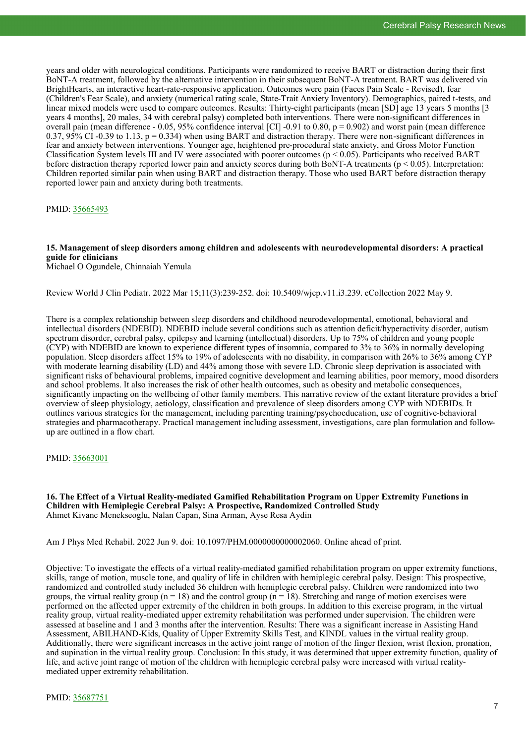years and older with neurological conditions. Participants were randomized to receive BART or distraction during their first BoNT-A treatment, followed by the alternative intervention in their subsequent BoNT-A treatment. BART was delivered via BrightHearts, an interactive heart-rate-responsive application. Outcomes were pain (Faces Pain Scale - Revised), fear (Children's Fear Scale), and anxiety (numerical rating scale, State-Trait Anxiety Inventory). Demographics, paired t-tests, and linear mixed models were used to compare outcomes. Results: Thirty-eight participants (mean [SD] age 13 years 5 months [3 years 4 months], 20 males, 34 with cerebral palsy) completed both interventions. There were non-significant differences in overall pain (mean difference - 0.05, 95% confidence interval [CI] -0.91 to 0.80,  $p = 0.902$ ) and worst pain (mean difference 0.37, 95% CI -0.39 to 1.13,  $p = 0.334$ ) when using BART and distraction therapy. There were non-significant differences in fear and anxiety between interventions. Younger age, heightened pre-procedural state anxiety, and Gross Motor Function Classification System levels III and IV were associated with poorer outcomes (p < 0.05). Participants who received BART before distraction therapy reported lower pain and anxiety scores during both BoNT-A treatments ( $p < 0.05$ ). Interpretation: Children reported similar pain when using BART and distraction therapy. Those who used BART before distraction therapy reported lower pain and anxiety during both treatments.

PMID: [35665493](https://pubmed.ncbi.nlm.nih.gov/35665493)

# **15. Management of sleep disorders among children and adolescents with neurodevelopmental disorders: A practical guide for clinicians**

Michael O Ogundele, Chinnaiah Yemula

Review World J Clin Pediatr. 2022 Mar 15;11(3):239-252. doi: 10.5409/wjcp.v11.i3.239. eCollection 2022 May 9.

There is a complex relationship between sleep disorders and childhood neurodevelopmental, emotional, behavioral and intellectual disorders (NDEBID). NDEBID include several conditions such as attention deficit/hyperactivity disorder, autism spectrum disorder, cerebral palsy, epilepsy and learning (intellectual) disorders. Up to 75% of children and young people (CYP) with NDEBID are known to experience different types of insomnia, compared to 3% to 36% in normally developing population. Sleep disorders affect 15% to 19% of adolescents with no disability, in comparison with 26% to 36% among CYP with moderate learning disability (LD) and 44% among those with severe LD. Chronic sleep deprivation is associated with significant risks of behavioural problems, impaired cognitive development and learning abilities, poor memory, mood disorders and school problems. It also increases the risk of other health outcomes, such as obesity and metabolic consequences, significantly impacting on the wellbeing of other family members. This narrative review of the extant literature provides a brief overview of sleep physiology, aetiology, classification and prevalence of sleep disorders among CYP with NDEBIDs. It outlines various strategies for the management, including parenting training/psychoeducation, use of cognitive-behavioral strategies and pharmacotherapy. Practical management including assessment, investigations, care plan formulation and followup are outlined in a flow chart.

PMID: [35663001](https://pubmed.ncbi.nlm.nih.gov/35663001)

**16. The Effect of a Virtual Reality-mediated Gamified Rehabilitation Program on Upper Extremity Functions in Children with Hemiplegic Cerebral Palsy: A Prospective, Randomized Controlled Study** Ahmet Kivanc Menekseoglu, Nalan Capan, Sina Arman, Ayse Resa Aydin

Am J Phys Med Rehabil. 2022 Jun 9. doi: 10.1097/PHM.0000000000002060. Online ahead of print.

Objective: To investigate the effects of a virtual reality-mediated gamified rehabilitation program on upper extremity functions, skills, range of motion, muscle tone, and quality of life in children with hemiplegic cerebral palsy. Design: This prospective, randomized and controlled study included 36 children with hemiplegic cerebral palsy. Children were randomized into two groups, the virtual reality group ( $n = 18$ ) and the control group ( $n = 18$ ). Stretching and range of motion exercises were performed on the affected upper extremity of the children in both groups. In addition to this exercise program, in the virtual reality group, virtual reality-mediated upper extremity rehabilitation was performed under supervision. The children were assessed at baseline and 1 and 3 months after the intervention. Results: There was a significant increase in Assisting Hand Assessment, ABILHAND-Kids, Quality of Upper Extremity Skills Test, and KINDL values in the virtual reality group. Additionally, there were significant increases in the active joint range of motion of the finger flexion, wrist flexion, pronation, and supination in the virtual reality group. Conclusion: In this study, it was determined that upper extremity function, quality of life, and active joint range of motion of the children with hemiplegic cerebral palsy were increased with virtual realitymediated upper extremity rehabilitation.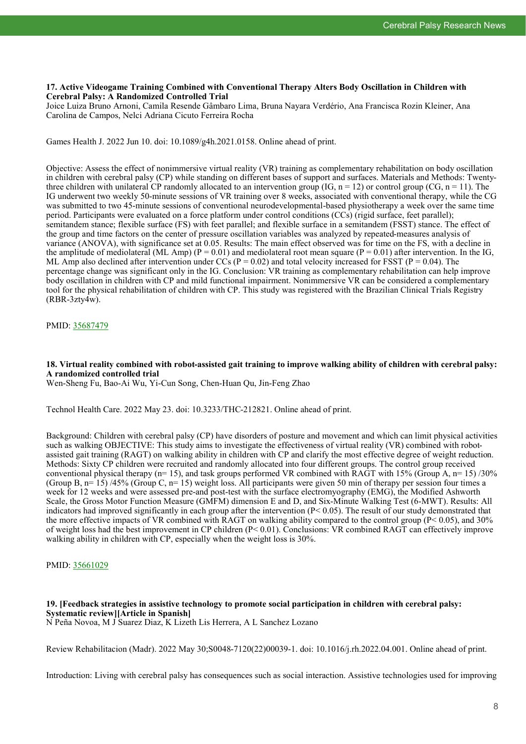# **17. Active Videogame Training Combined with Conventional Therapy Alters Body Oscillation in Children with Cerebral Palsy: A Randomized Controlled Trial**

Joice Luiza Bruno Arnoni, Camila Resende Gâmbaro Lima, Bruna Nayara Verdério, Ana Francisca Rozin Kleiner, Ana Carolina de Campos, Nelci Adriana Cicuto Ferreira Rocha

Games Health J. 2022 Jun 10. doi: 10.1089/g4h.2021.0158. Online ahead of print.

Objective: Assess the effect of nonimmersive virtual reality (VR) training as complementary rehabilitation on body oscillation in children with cerebral palsy (CP) while standing on different bases of support and surfaces. Materials and Methods: Twentythree children with unilateral CP randomly allocated to an intervention group (IG,  $n = 12$ ) or control group (CG,  $n = 11$ ). The IG underwent two weekly 50-minute sessions of VR training over 8 weeks, associated with conventional therapy, while the CG was submitted to two 45-minute sessions of conventional neurodevelopmental-based physiotherapy a week over the same time period. Participants were evaluated on a force platform under control conditions (CCs) (rigid surface, feet parallel); semitandem stance; flexible surface (FS) with feet parallel; and flexible surface in a semitandem (FSST) stance. The effect of the group and time factors on the center of pressure oscillation variables was analyzed by repeated-measures analysis of variance (ANOVA), with significance set at 0.05. Results: The main effect observed was for time on the FS, with a decline in the amplitude of mediolateral (ML Amp) ( $P = 0.01$ ) and mediolateral root mean square ( $P = 0.01$ ) after intervention. In the IG, ML Amp also declined after intervention under CCs ( $P = 0.02$ ) and total velocity increased for FSST ( $P = 0.04$ ). The percentage change was significant only in the IG. Conclusion: VR training as complementary rehabilitation can help improve body oscillation in children with CP and mild functional impairment. Nonimmersive VR can be considered a complementary tool for the physical rehabilitation of children with CP. This study was registered with the Brazilian Clinical Trials Registry (RBR-3zty4w).

# PMID: [35687479](https://pubmed.ncbi.nlm.nih.gov/35687479)

# **18. Virtual reality combined with robot-assisted gait training to improve walking ability of children with cerebral palsy: A randomized controlled trial**

Wen-Sheng Fu, Bao-Ai Wu, Yi-Cun Song, Chen-Huan Qu, Jin-Feng Zhao

Technol Health Care. 2022 May 23. doi: 10.3233/THC-212821. Online ahead of print.

Background: Children with cerebral palsy (CP) have disorders of posture and movement and which can limit physical activities such as walking OBJECTIVE: This study aims to investigate the effectiveness of virtual reality (VR) combined with robotassisted gait training (RAGT) on walking ability in children with CP and clarify the most effective degree of weight reduction. Methods: Sixty CP children were recruited and randomly allocated into four different groups. The control group received conventional physical therapy ( $n=15$ ), and task groups performed VR combined with RAGT with 15% (Group A,  $n=15$ )/30% (Group B, n= 15) /45% (Group C, n= 15) weight loss. All participants were given 50 min of therapy per session four times a week for 12 weeks and were assessed pre-and post-test with the surface electromyography (EMG), the Modified Ashworth Scale, the Gross Motor Function Measure (GMFM) dimension E and D, and Six-Minute Walking Test (6-MWT). Results: All indicators had improved significantly in each group after the intervention  $(P< 0.05)$ . The result of our study demonstrated that the more effective impacts of VR combined with RAGT on walking ability compared to the control group (P< 0.05), and 30% of weight loss had the best improvement in CP children (P< 0.01). Conclusions: VR combined RAGT can effectively improve walking ability in children with CP, especially when the weight loss is 30%.

# PMID: [35661029](https://pubmed.ncbi.nlm.nih.gov/35661029)

# **19. [Feedback strategies in assistive technology to promote social participation in children with cerebral palsy: Systematic review][Article in Spanish]**

N Peña Novoa, M J Suarez Diaz, K Lizeth Lis Herrera, A L Sanchez Lozano

Review Rehabilitacion (Madr). 2022 May 30;S0048-7120(22)00039-1. doi: 10.1016/j.rh.2022.04.001. Online ahead of print.

Introduction: Living with cerebral palsy has consequences such as social interaction. Assistive technologies used for improving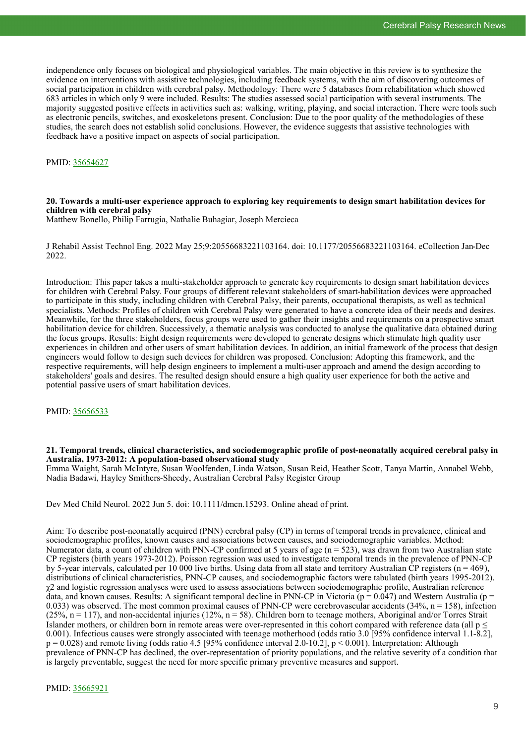independence only focuses on biological and physiological variables. The main objective in this review is to synthesize the evidence on interventions with assistive technologies, including feedback systems, with the aim of discovering outcomes of social participation in children with cerebral palsy. Methodology: There were 5 databases from rehabilitation which showed 683 articles in which only 9 were included. Results: The studies assessed social participation with several instruments. The majority suggested positive effects in activities such as: walking, writing, playing, and social interaction. There were tools such as electronic pencils, switches, and exoskeletons present. Conclusion: Due to the poor quality of the methodologies of these studies, the search does not establish solid conclusions. However, the evidence suggests that assistive technologies with feedback have a positive impact on aspects of social participation.

PMID: [35654627](https://pubmed.ncbi.nlm.nih.gov/35654627)

# **20. Towards a multi-user experience approach to exploring key requirements to design smart habilitation devices for children with cerebral palsy**

Matthew Bonello, Philip Farrugia, Nathalie Buhagiar, Joseph Mercieca

J Rehabil Assist Technol Eng. 2022 May 25;9:20556683221103164. doi: 10.1177/20556683221103164. eCollection Jan-Dec 2022.

Introduction: This paper takes a multi-stakeholder approach to generate key requirements to design smart habilitation devices for children with Cerebral Palsy. Four groups of different relevant stakeholders of smart-habilitation devices were approached to participate in this study, including children with Cerebral Palsy, their parents, occupational therapists, as well as technical specialists. Methods: Profiles of children with Cerebral Palsy were generated to have a concrete idea of their needs and desires. Meanwhile, for the three stakeholders, focus groups were used to gather their insights and requirements on a prospective smart habilitation device for children. Successively, a thematic analysis was conducted to analyse the qualitative data obtained during the focus groups. Results: Eight design requirements were developed to generate designs which stimulate high quality user experiences in children and other users of smart habilitation devices. In addition, an initial framework of the process that design engineers would follow to design such devices for children was proposed. Conclusion: Adopting this framework, and the respective requirements, will help design engineers to implement a multi-user approach and amend the design according to stakeholders' goals and desires. The resulted design should ensure a high quality user experience for both the active and potential passive users of smart habilitation devices.

PMID: [35656533](https://pubmed.ncbi.nlm.nih.gov/35656533)

#### **21. Temporal trends, clinical characteristics, and sociodemographic profile of post-neonatally acquired cerebral palsy in Australia, 1973-2012: A population-based observational study**

Emma Waight, Sarah McIntyre, Susan Woolfenden, Linda Watson, Susan Reid, Heather Scott, Tanya Martin, Annabel Webb, Nadia Badawi, Hayley Smithers-Sheedy, Australian Cerebral Palsy Register Group

Dev Med Child Neurol. 2022 Jun 5. doi: 10.1111/dmcn.15293. Online ahead of print.

Aim: To describe post-neonatally acquired (PNN) cerebral palsy (CP) in terms of temporal trends in prevalence, clinical and sociodemographic profiles, known causes and associations between causes, and sociodemographic variables. Method: Numerator data, a count of children with PNN-CP confirmed at 5 years of age  $(n = 523)$ , was drawn from two Australian state CP registers (birth years 1973-2012). Poisson regression was used to investigate temporal trends in the prevalence of PNN-CP by 5-year intervals, calculated per 10 000 live births. Using data from all state and territory Australian  $\dot{CP}$  registers (n = 469), distributions of clinical characteristics, PNN-CP causes, and sociodemographic factors were tabulated (birth years 1995-2012).  $\gamma$ 2 and logistic regression analyses were used to assess associations between sociodemographic profile, Australian reference data, and known causes. Results: A significant temporal decline in PNN-CP in Victoria ( $p = 0.047$ ) and Western Australia ( $p =$ 0.033) was observed. The most common proximal causes of PNN-CP were cerebrovascular accidents  $(34\%, n = 158)$ , infection  $(25\%, n = 117)$ , and non-accidental injuries  $(12\%, n = 58)$ . Children born to teenage mothers, Aboriginal and/or Torres Strait Islander mothers, or children born in remote areas were over-represented in this cohort compared with reference data (all  $p \leq$ 0.001). Infectious causes were strongly associated with teenage motherhood (odds ratio 3.0 [95% confidence interval 1.1-8.2],  $p = 0.028$ ) and remote living (odds ratio 4.5 [95% confidence interval 2.0-10.2],  $p < 0.001$ ). Interpretation: Although prevalence of PNN-CP has declined, the over-representation of priority populations, and the relative severity of a condition that is largely preventable, suggest the need for more specific primary preventive measures and support.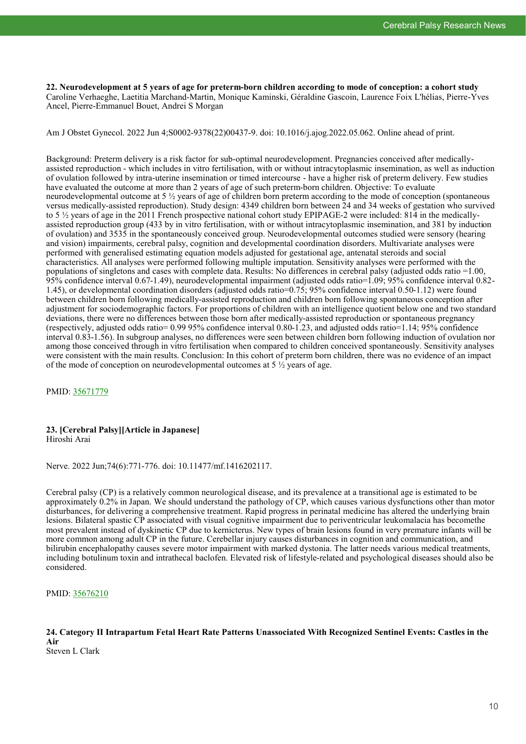**22. Neurodevelopment at 5 years of age for preterm-born children according to mode of conception: a cohort study** Caroline Verhaeghe, Laetitia Marchand-Martin, Monique Kaminski, Géraldine Gascoin, Laurence Foix L'hélias, Pierre-Yves Ancel, Pierre-Emmanuel Bouet, Andrei S Morgan

Am J Obstet Gynecol. 2022 Jun 4;S0002-9378(22)00437-9. doi: 10.1016/j.ajog.2022.05.062. Online ahead of print.

Background: Preterm delivery is a risk factor for sub-optimal neurodevelopment. Pregnancies conceived after medicallyassisted reproduction - which includes in vitro fertilisation, with or without intracytoplasmic insemination, as well as induction of ovulation followed by intra-uterine insemination or timed intercourse - have a higher risk of preterm delivery. Few studies have evaluated the outcome at more than 2 years of age of such preterm-born children. Objective: To evaluate neurodevelopmental outcome at 5 ½ years of age of children born preterm according to the mode of conception (spontaneous versus medically-assisted reproduction). Study design: 4349 children born between 24 and 34 weeks of gestation who survived to 5 ½ years of age in the 2011 French prospective national cohort study EPIPAGE-2 were included: 814 in the medicallyassisted reproduction group (433 by in vitro fertilisation, with or without intracytoplasmic insemination, and 381 by induction of ovulation) and 3535 in the spontaneously conceived group. Neurodevelopmental outcomes studied were sensory (hearing and vision) impairments, cerebral palsy, cognition and developmental coordination disorders. Multivariate analyses were performed with generalised estimating equation models adjusted for gestational age, antenatal steroids and social characteristics. All analyses were performed following multiple imputation. Sensitivity analyses were performed with the populations of singletons and cases with complete data. Results: No differences in cerebral palsy (adjusted odds ratio =1.00, 95% confidence interval 0.67-1.49), neurodevelopmental impairment (adjusted odds ratio=1.09; 95% confidence interval 0.82- 1.45), or developmental coordination disorders (adjusted odds ratio=0.75; 95% confidence interval 0.50-1.12) were found between children born following medically-assisted reproduction and children born following spontaneous conception after adjustment for sociodemographic factors. For proportions of children with an intelligence quotient below one and two standard deviations, there were no differences between those born after medically-assisted reproduction or spontaneous pregnancy (respectively, adjusted odds ratio= 0.99 95% confidence interval 0.80-1.23, and adjusted odds ratio=1.14; 95% confidence interval 0.83-1.56). In subgroup analyses, no differences were seen between children born following induction of ovulation nor among those conceived through in vitro fertilisation when compared to children conceived spontaneously. Sensitivity analyses were consistent with the main results. Conclusion: In this cohort of preterm born children, there was no evidence of an impact of the mode of conception on neurodevelopmental outcomes at  $5\frac{1}{2}$  years of age.

PMID: [35671779](https://pubmed.ncbi.nlm.nih.gov/35671779)

#### **23. [Cerebral Palsy][Article in Japanese]** Hiroshi Arai

Nerve. 2022 Jun;74(6):771-776. doi: 10.11477/mf.1416202117.

Cerebral palsy (CP) is a relatively common neurological disease, and its prevalence at a transitional age is estimated to be approximately 0.2% in Japan. We should understand the pathology of CP, which causes various dysfunctions other than motor disturbances, for delivering a comprehensive treatment. Rapid progress in perinatal medicine has altered the underlying brain lesions. Bilateral spastic CP associated with visual cognitive impairment due to periventricular leukomalacia has becomethe most prevalent instead of dyskinetic CP due to kernicterus. New types of brain lesions found in very premature infants will be more common among adult CP in the future. Cerebellar injury causes disturbances in cognition and communication, and bilirubin encephalopathy causes severe motor impairment with marked dystonia. The latter needs various medical treatments, including botulinum toxin and intrathecal baclofen. Elevated risk of lifestyle-related and psychological diseases should also be considered.

PMID: [35676210](https://pubmed.ncbi.nlm.nih.gov/35676210)

**24. Category II Intrapartum Fetal Heart Rate Patterns Unassociated With Recognized Sentinel Events: Castles in the Air** Steven L Clark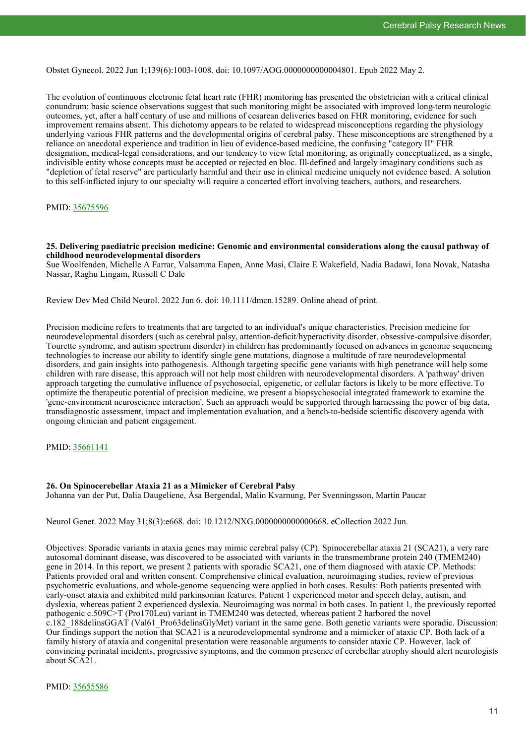Obstet Gynecol. 2022 Jun 1;139(6):1003-1008. doi: 10.1097/AOG.0000000000004801. Epub 2022 May 2.

The evolution of continuous electronic fetal heart rate (FHR) monitoring has presented the obstetrician with a critical clinical conundrum: basic science observations suggest that such monitoring might be associated with improved long-term neurologic outcomes, yet, after a half century of use and millions of cesarean deliveries based on FHR monitoring, evidence for such improvement remains absent. This dichotomy appears to be related to widespread misconceptions regarding the physiology underlying various FHR patterns and the developmental origins of cerebral palsy. These misconceptions are strengthened by a reliance on anecdotal experience and tradition in lieu of evidence-based medicine, the confusing "category II" FHR designation, medical-legal considerations, and our tendency to view fetal monitoring, as originally conceptualized, as a single, indivisible entity whose concepts must be accepted or rejected en bloc. Ill-defined and largely imaginary conditions such as "depletion of fetal reserve" are particularly harmful and their use in clinical medicine uniquely not evidence based. A solution to this self-inflicted injury to our specialty will require a concerted effort involving teachers, authors, and researchers.

#### PMID: [35675596](https://pubmed.ncbi.nlm.nih.gov/35675596)

**25. Delivering paediatric precision medicine: Genomic and environmental considerations along the causal pathway of childhood neurodevelopmental disorders**

Sue Woolfenden, Michelle A Farrar, Valsamma Eapen, Anne Masi, Claire E Wakefield, Nadia Badawi, Iona Novak, Natasha Nassar, Raghu Lingam, Russell C Dale

Review Dev Med Child Neurol. 2022 Jun 6. doi: 10.1111/dmcn.15289. Online ahead of print.

Precision medicine refers to treatments that are targeted to an individual's unique characteristics. Precision medicine for neurodevelopmental disorders (such as cerebral palsy, attention-deficit/hyperactivity disorder, obsessive-compulsive disorder, Tourette syndrome, and autism spectrum disorder) in children has predominantly focused on advances in genomic sequencing technologies to increase our ability to identify single gene mutations, diagnose a multitude of rare neurodevelopmental disorders, and gain insights into pathogenesis. Although targeting specific gene variants with high penetrance will help some children with rare disease, this approach will not help most children with neurodevelopmental disorders. A 'pathway' driven approach targeting the cumulative influence of psychosocial, epigenetic, or cellular factors is likely to be more effective. To optimize the therapeutic potential of precision medicine, we present a biopsychosocial integrated framework to examine the 'gene-environment neuroscience interaction'. Such an approach would be supported through harnessing the power of big data, transdiagnostic assessment, impact and implementation evaluation, and a bench-to-bedside scientific discovery agenda with ongoing clinician and patient engagement.

PMID: [35661141](https://pubmed.ncbi.nlm.nih.gov/35661141)

#### **26. On Spinocerebellar Ataxia 21 as a Mimicker of Cerebral Palsy**

Johanna van der Put, Dalia Daugeliene, Åsa Bergendal, Malin Kvarnung, Per Svenningsson, Martin Paucar

Neurol Genet. 2022 May 31;8(3):e668. doi: 10.1212/NXG.0000000000000668. eCollection 2022 Jun.

Objectives: Sporadic variants in ataxia genes may mimic cerebral palsy (CP). Spinocerebellar ataxia 21 (SCA21), a very rare autosomal dominant disease, was discovered to be associated with variants in the transmembrane protein 240 (TMEM240) gene in 2014. In this report, we present 2 patients with sporadic SCA21, one of them diagnosed with ataxic CP. Methods: Patients provided oral and written consent. Comprehensive clinical evaluation, neuroimaging studies, review of previous psychometric evaluations, and whole-genome sequencing were applied in both cases. Results: Both patients presented with early-onset ataxia and exhibited mild parkinsonian features. Patient 1 experienced motor and speech delay, autism, and dyslexia, whereas patient 2 experienced dyslexia. Neuroimaging was normal in both cases. In patient 1, the previously reported pathogenic c.509C>T (Pro170Leu) variant in TMEM240 was detected, whereas patient 2 harbored the novel c.182\_188delinsGGAT (Val61\_Pro63delinsGlyMet) variant in the same gene. Both genetic variants were sporadic. Discussion: Our findings support the notion that SCA21 is a neurodevelopmental syndrome and a mimicker of ataxic CP. Both lack of a family history of ataxia and congenital presentation were reasonable arguments to consider ataxic CP. However, lack of convincing perinatal incidents, progressive symptoms, and the common presence of cerebellar atrophy should alert neurologists about SCA21.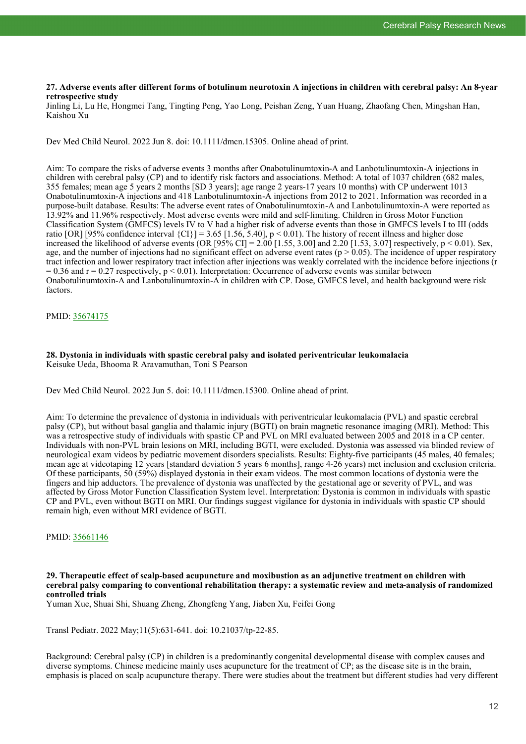# **27. Adverse events after different forms of botulinum neurotoxin A injections in children with cerebral palsy: An 8-year retrospective study**

Jinling Li, Lu He, Hongmei Tang, Tingting Peng, Yao Long, Peishan Zeng, Yuan Huang, Zhaofang Chen, Mingshan Han, Kaishou Xu

Dev Med Child Neurol. 2022 Jun 8. doi: 10.1111/dmcn.15305. Online ahead of print.

Aim: To compare the risks of adverse events 3 months after Onabotulinumtoxin-A and Lanbotulinumtoxin-A injections in children with cerebral palsy (CP) and to identify risk factors and associations. Method: A total of 1037 children (682 males, 355 females; mean age 5 years 2 months [SD 3 years]; age range 2 years-17 years 10 months) with CP underwent 1013 Onabotulinumtoxin-A injections and 418 Lanbotulinumtoxin-A injections from 2012 to 2021. Information was recorded in a purpose-built database. Results: The adverse event rates of Onabotulinumtoxin-A and Lanbotulinumtoxin-A were reported as 13.92% and 11.96% respectively. Most adverse events were mild and self-limiting. Children in Gross Motor Function Classification System (GMFCS) levels IV to V had a higher risk of adverse events than those in GMFCS levels I to III (odds ratio [OR] [95% confidence interval  $\{CI\}$ ] = 3.65 [1.56, 5.40], p < 0.01). The history of recent illness and higher dose increased the likelihood of adverse events (OR [95% CI] = 2.00 [1.55, 3.00] and 2.20 [1.53, 3.07] respectively, p < 0.01). Sex, age, and the number of injections had no significant effect on adverse event rates ( $p > 0.05$ ). The incidence of upper respiratory tract infection and lower respiratory tract infection after injections was weakly correlated with the incidence before injections (r  $= 0.36$  and  $r = 0.27$  respectively,  $p \le 0.01$ ). Interpretation: Occurrence of adverse events was similar between Onabotulinumtoxin-A and Lanbotulinumtoxin-A in children with CP. Dose, GMFCS level, and health background were risk factors.

# PMID: [35674175](https://pubmed.ncbi.nlm.nih.gov/35674175)

#### **28. Dystonia in individuals with spastic cerebral palsy and isolated periventricular leukomalacia** Keisuke Ueda, Bhooma R Aravamuthan, Toni S Pearson

Dev Med Child Neurol. 2022 Jun 5. doi: 10.1111/dmcn.15300. Online ahead of print.

Aim: To determine the prevalence of dystonia in individuals with periventricular leukomalacia (PVL) and spastic cerebral palsy (CP), but without basal ganglia and thalamic injury (BGTI) on brain magnetic resonance imaging (MRI). Method: This was a retrospective study of individuals with spastic CP and PVL on MRI evaluated between 2005 and 2018 in a CP center. Individuals with non-PVL brain lesions on MRI, including BGTI, were excluded. Dystonia was assessed via blinded review of neurological exam videos by pediatric movement disorders specialists. Results: Eighty-five participants (45 males, 40 females; mean age at videotaping 12 years [standard deviation 5 years 6 months], range 4-26 years) met inclusion and exclusion criteria. Of these participants, 50 (59%) displayed dystonia in their exam videos. The most common locations of dystonia were the fingers and hip adductors. The prevalence of dystonia was unaffected by the gestational age or severity of PVL, and was affected by Gross Motor Function Classification System level. Interpretation: Dystonia is common in individuals with spastic CP and PVL, even without BGTI on MRI. Our findings suggest vigilance for dystonia in individuals with spastic CP should remain high, even without MRI evidence of BGTI.

# PMID: [35661146](https://pubmed.ncbi.nlm.nih.gov/35661146)

#### **29. Therapeutic effect of scalp-based acupuncture and moxibustion as an adjunctive treatment on children with cerebral palsy comparing to conventional rehabilitation therapy: a systematic review and meta-analysis of randomized controlled trials**

Yuman Xue, Shuai Shi, Shuang Zheng, Zhongfeng Yang, Jiaben Xu, Feifei Gong

Transl Pediatr. 2022 May;11(5):631-641. doi: 10.21037/tp-22-85.

Background: Cerebral palsy (CP) in children is a predominantly congenital developmental disease with complex causes and diverse symptoms. Chinese medicine mainly uses acupuncture for the treatment of CP; as the disease site is in the brain, emphasis is placed on scalp acupuncture therapy. There were studies about the treatment but different studies had very different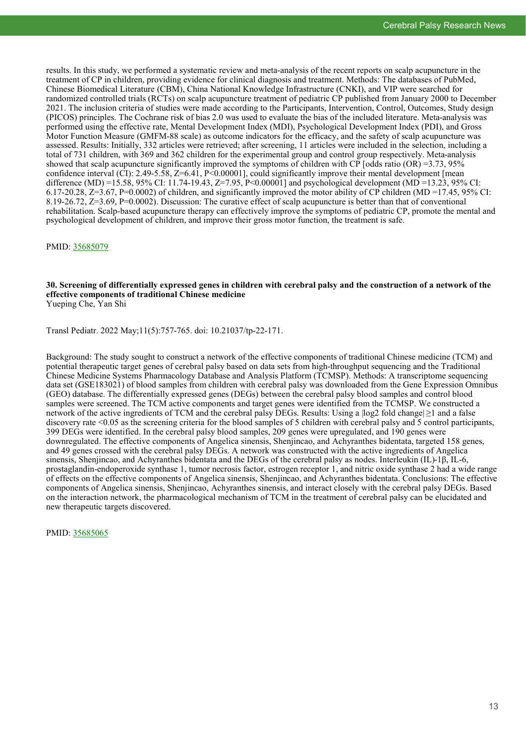results. In this study, we performed a systematic review and meta-analysis of the recent reports on scalp acupuncture in the treatment of CP in children, providing evidence for clinical diagnosis and treatment. Methods: The databases of PubMed, Chinese Biomedical Literature (CBM), China National Knowledge Infrastructure (CNKI), and VIP were searched for randomized controlled trials (RCTs) on scalp acupuncture treatment of pediatric CP published from January 2000 to December 2021. The inclusion criteria of studies were made according to the Participants, Intervention, Control, Outcomes, Study design (PICOS) principles. The Cochrane risk of bias 2.0 was used to evaluate the bias of the included literature. Meta-analysis was performed using the effective rate, Mental Development Index (MDI), Psychological Development Index (PDI), and Gross Motor Function Measure (GMFM-88 scale) as outcome indicators for the efficacy, and the safety of scalp acupuncture was assessed. Results: Initially, 332 articles were retrieved; after screening, 11 articles were included in the selection, including a total of 731 children, with 369 and 362 children for the experimental group and control group respectively. Meta-analysis showed that scalp acupuncture significantly improved the symptoms of children with CP [odds ratio (OR) =3.73, 95% confidence interval  $\overline{(CI)}$ : 2.49-5.58, Z=6.41, P<0.00001], could significantly improve their mental development [mean difference (MD) =15.58, 95% CI: 11.74-19.43, Z=7.95, P<0.00001] and psychological development (MD =13.23, 95% CI: 6.17-20.28,  $Z=3.67$ , P=0.0002) of children, and significantly improved the motor ability of CP children (MD =17.45, 95% CI: 8.19-26.72, Z=3.69, P=0.0002). Discussion: The curative effect of scalp acupuncture is better than that of conventional rehabilitation. Scalp-based acupuncture therapy can effectively improve the symptoms of pediatric CP, promote the mental and psychological development of children, and improve their gross motor function, the treatment is safe.

PMID: [35685079](https://pubmed.ncbi.nlm.nih.gov/35685079)

# **30. Screening of differentially expressed genes in children with cerebral palsy and the construction of a network of the effective components of traditional Chinese medicine**

Yueping Che, Yan Shi

Transl Pediatr. 2022 May;11(5):757-765. doi: 10.21037/tp-22-171.

Background: The study sought to construct a network of the effective components of traditional Chinese medicine (TCM) and potential therapeutic target genes of cerebral palsy based on data sets from high-throughput sequencing and the Traditional Chinese Medicine Systems Pharmacology Database and Analysis Platform (TCMSP). Methods: A transcriptome sequencing data set (GSE183021) of blood samples from children with cerebral palsy was downloaded from the Gene Expression Omnibus (GEO) database. The differentially expressed genes (DEGs) between the cerebral palsy blood samples and control blood samples were screened. The TCM active components and target genes were identified from the TCMSP. We constructed a network of the active ingredients of TCM and the cerebral palsy DEGs. Results: Using a  $\log 2$  fold change $\geq 1$  and a false discovery rate <0.05 as the screening criteria for the blood samples of 5 children with cerebral palsy and 5 control participants, 399 DEGs were identified. In the cerebral palsy blood samples, 209 genes were upregulated, and 190 genes were downregulated. The effective components of Angelica sinensis, Shenjincao, and Achyranthes bidentata, targeted 158 genes, and 49 genes crossed with the cerebral palsy DEGs. A network was constructed with the active ingredients of Angelica sinensis, Shenjincao, and Achyranthes bidentata and the DEGs of the cerebral palsy as nodes. Interleukin (IL)-1β, IL-6, prostaglandin-endoperoxide synthase 1, tumor necrosis factor, estrogen receptor 1, and nitric oxide synthase 2 had a wide range of effects on the effective components of Angelica sinensis, Shenjincao, and Achyranthes bidentata. Conclusions: The effective components of Angelica sinensis, Shenjincao, Achyranthes sinensis, and interact closely with the cerebral palsy DEGs. Based on the interaction network, the pharmacological mechanism of TCM in the treatment of cerebral palsy can be elucidated and new therapeutic targets discovered.

PMID: [35685065](https://pubmed.ncbi.nlm.nih.gov/35685065)